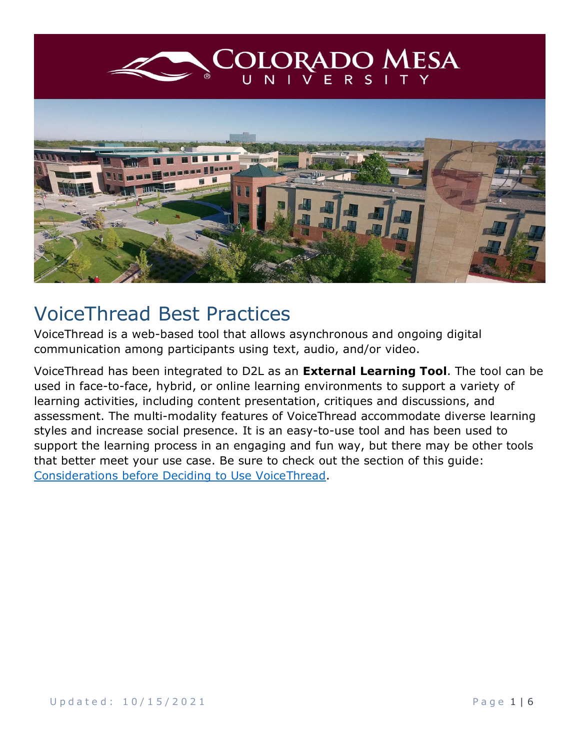<span id="page-0-0"></span>

# VoiceThread Best Practices

VoiceThread is a web-based tool that allows asynchronous and ongoing digital communication among participants using text, audio, and/or video.

VoiceThread has been integrated to D2L as an **External Learning Tool**. The tool can be used in face-to-face, hybrid, or online learning environments to support a variety of learning activities, including content presentation, critiques and discussions, and assessment. The multi-modality features of VoiceThread accommodate diverse learning styles and increase social presence. It is an easy-to-use tool and has been used to support the learning process in an engaging and fun way, but there may be other tools that better meet your use case. Be sure to check out the section of this guide: [Considerations before Deciding to Use VoiceThread.](#page-4-0)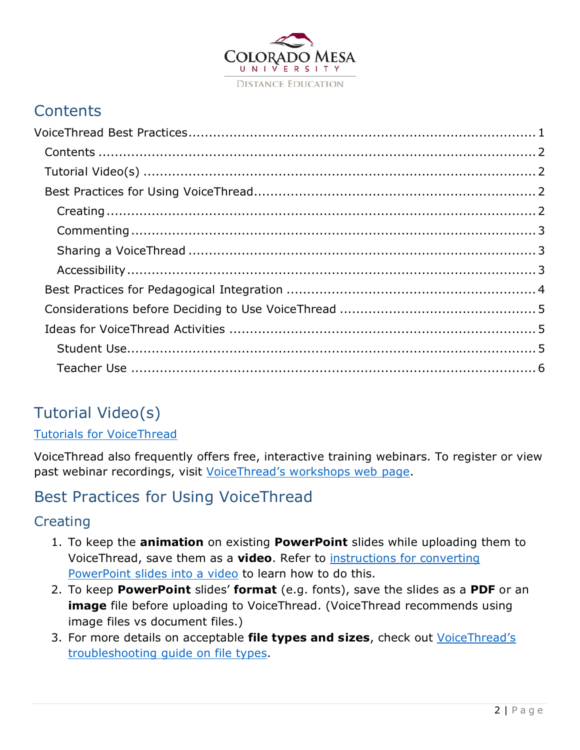

## <span id="page-1-0"></span>**Contents**

## <span id="page-1-1"></span>Tutorial Video(s)

#### [Tutorials for VoiceThread](https://voicethread.com/myvoice/browse/threadbox/890/)

VoiceThread also frequently offers free, interactive training webinars. To register or view past webinar recordings, visit [VoiceThread's workshops web page.](https://voicethread.com/workshops)

## <span id="page-1-2"></span>Best Practices for Using VoiceThread

#### <span id="page-1-3"></span>**Creating**

- 1. To keep the **animation** on existing **PowerPoint** slides while uploading them to VoiceThread, save them as a **video**. Refer to [instructions for converting](https://support.office.com/en-au/article/Turn-your-presentation-into-a-video-c140551f-cb37-4818-b5d4-3e30815c3e83)  [PowerPoint slides into a video](https://support.office.com/en-au/article/Turn-your-presentation-into-a-video-c140551f-cb37-4818-b5d4-3e30815c3e83) to learn how to do this.
- 2. To keep **PowerPoint** slides' **format** (e.g. fonts), save the slides as a **PDF** or an **image** file before uploading to VoiceThread. (VoiceThread recommends using image files vs document files.)
- 3. For more details on acceptable **file types and sizes**, check out [VoiceThread's](https://voicethread.com/howto/file-types-accepted/)  [troubleshooting guide on file types.](https://voicethread.com/howto/file-types-accepted/)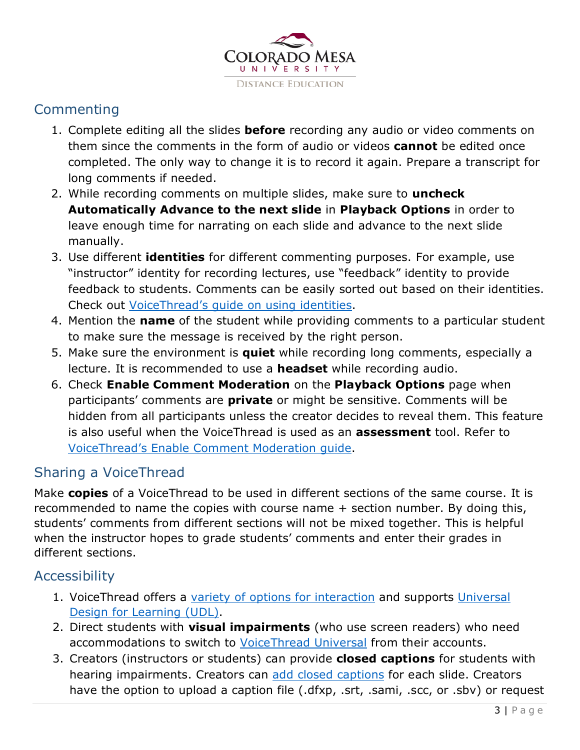

#### <span id="page-2-0"></span>**Commenting**

- 1. Complete editing all the slides **before** recording any audio or video comments on them since the comments in the form of audio or videos **cannot** be edited once completed. The only way to change it is to record it again. Prepare a transcript for long comments if needed.
- 2. While recording comments on multiple slides, make sure to **uncheck Automatically Advance to the next slide** in **Playback Options** in order to leave enough time for narrating on each slide and advance to the next slide manually.
- 3. Use different **identities** for different commenting purposes. For example, use "instructor" identity for recording lectures, use "feedback" identity to provide feedback to students. Comments can be easily sorted out based on their identities. Check out [VoiceThread's guide on using identities.](https://voicethread.com/howto/using-identities-2/)
- 4. Mention the **name** of the student while providing comments to a particular student to make sure the message is received by the right person.
- 5. Make sure the environment is **quiet** while recording long comments, especially a lecture. It is recommended to use a **headset** while recording audio.
- 6. Check **Enable Comment Moderation** on the **Playback Options** page when participants' comments are **private** or might be sensitive. Comments will be hidden from all participants unless the creator decides to reveal them. This feature is also useful when the VoiceThread is used as an **assessment** tool. Refer to [VoiceThread's Enable Comment Moderation guide.](https://voicethread.com/howto/using-comment-moderation/)

#### <span id="page-2-1"></span>Sharing a VoiceThread

Make **copies** of a VoiceThread to be used in different sections of the same course. It is recommended to name the copies with course name + section number. By doing this, students' comments from different sections will not be mixed together. This is helpful when the instructor hopes to grade students' comments and enter their grades in different sections.

#### <span id="page-2-2"></span>Accessibility

- 1. VoiceThread offers a [variety of options for interaction](https://voicethread.com/about/features/accessibility) and supports Universal [Design for Learning \(UDL\).](https://voicethread.com/workshops/voicethread-and-universal-design-for-learning-udl-4/)
- 2. Direct students with **visual impairments** (who use screen readers) who need accommodations to switch to [VoiceThread Universal](https://voicethread.com/howto/voicethread-universal/) from their accounts.
- 3. Creators (instructors or students) can provide **closed captions** for students with hearing impairments. Creators can [add closed captions](http://docs.voicethread.com/web-application/accessibility-web-application/closed-captioning/) for each slide. Creators have the option to upload a caption file (.dfxp, .srt, .sami, .scc, or .sbv) or request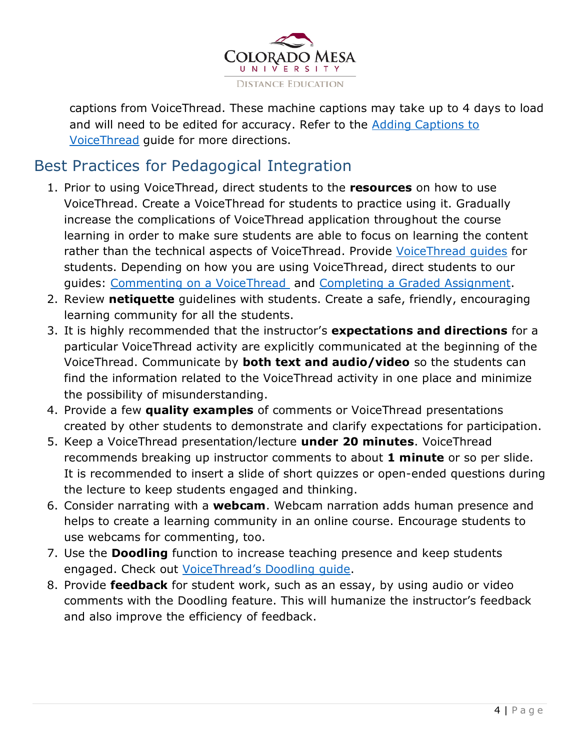

captions from VoiceThread. These machine captions may take up to 4 days to load and will need to be edited for accuracy. Refer to the [Adding Captions to](https://www.coloradomesa.edu/distance-education/documents/adding_captions_voicethread.pdf)  [VoiceThread](https://www.coloradomesa.edu/distance-education/documents/adding_captions_voicethread.pdf) guide for more directions.

## <span id="page-3-0"></span>Best Practices for Pedagogical Integration

- 1. Prior to using VoiceThread, direct students to the **resources** on how to use VoiceThread. Create a VoiceThread for students to practice using it. Gradually increase the complications of VoiceThread application throughout the course learning in order to make sure students are able to focus on learning the content rather than the technical aspects of VoiceThread. Provide [VoiceThread guides](https://voicethread.com/howto/category/viewing-web-application/) for students. Depending on how you are using VoiceThread, direct students to our guides: [Commenting on a VoiceThread](https://www.coloradomesa.edu/distance-education/documents/commenting_voicethread_student_version.pdf) and [Completing a Graded Assignment.](https://www.coloradomesa.edu/distance-education/documents/completing_graded_voicethread_assignment)
- 2. Review **netiquette** guidelines with students. Create a safe, friendly, encouraging learning community for all the students.
- 3. It is highly recommended that the instructor's **expectations and directions** for a particular VoiceThread activity are explicitly communicated at the beginning of the VoiceThread. Communicate by **both text and audio/video** so the students can find the information related to the VoiceThread activity in one place and minimize the possibility of misunderstanding.
- 4. Provide a few **quality examples** of comments or VoiceThread presentations created by other students to demonstrate and clarify expectations for participation.
- 5. Keep a VoiceThread presentation/lecture **under 20 minutes**. VoiceThread recommends breaking up instructor comments to about **1 minute** or so per slide. It is recommended to insert a slide of short quizzes or open-ended questions during the lecture to keep students engaged and thinking.
- 6. Consider narrating with a **webcam**. Webcam narration adds human presence and helps to create a learning community in an online course. Encourage students to use webcams for commenting, too.
- 7. Use the **Doodling** function to increase teaching presence and keep students engaged. Check out [VoiceThread's Doodling guide.](https://voicethread.com/howto-categories/doodling-web-application/)
- 8. Provide **feedback** for student work, such as an essay, by using audio or video comments with the Doodling feature. This will humanize the instructor's feedback and also improve the efficiency of feedback.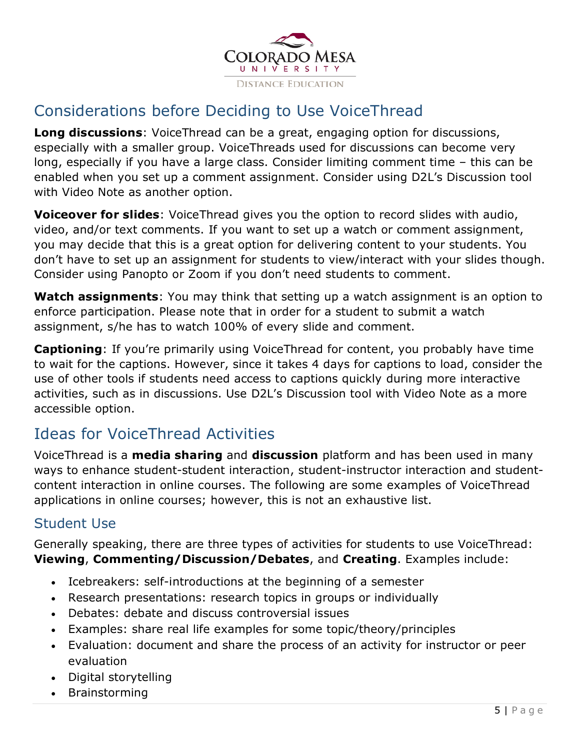

## <span id="page-4-0"></span>Considerations before Deciding to Use VoiceThread

**Long discussions**: VoiceThread can be a great, engaging option for discussions, especially with a smaller group. VoiceThreads used for discussions can become very long, especially if you have a large class. Consider limiting comment time – this can be enabled when you set up a comment assignment. Consider using D2L's Discussion tool with Video Note as another option.

**Voiceover for slides**: VoiceThread gives you the option to record slides with audio, video, and/or text comments. If you want to set up a watch or comment assignment, you may decide that this is a great option for delivering content to your students. You don't have to set up an assignment for students to view/interact with your slides though. Consider using Panopto or Zoom if you don't need students to comment.

**Watch assignments**: You may think that setting up a watch assignment is an option to enforce participation. Please note that in order for a student to submit a watch assignment, s/he has to watch 100% of every slide and comment.

**Captioning**: If you're primarily using VoiceThread for content, you probably have time to wait for the captions. However, since it takes 4 days for captions to load, consider the use of other tools if students need access to captions quickly during more interactive activities, such as in discussions. Use D2L's Discussion tool with Video Note as a more accessible option.

## <span id="page-4-1"></span>Ideas for VoiceThread Activities

VoiceThread is a **media sharing** and **discussion** platform and has been used in many ways to enhance student-student interaction, student-instructor interaction and studentcontent interaction in online courses. The following are some examples of VoiceThread applications in online courses; however, this is not an exhaustive list.

#### <span id="page-4-2"></span>Student Use

Generally speaking, there are three types of activities for students to use VoiceThread: **Viewing**, **Commenting/Discussion/Debates**, and **Creating**. Examples include:

- Icebreakers: self-introductions at the beginning of a semester
- Research presentations: research topics in groups or individually
- Debates: debate and discuss controversial issues
- Examples: share real life examples for some topic/theory/principles
- Evaluation: document and share the process of an activity for instructor or peer evaluation
- Digital storytelling
- Brainstorming